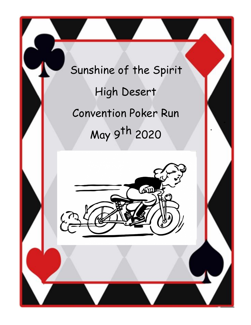